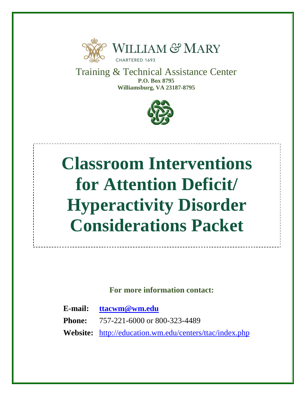

Training & Technical Assistance Center **P.O. Box 8795 Williamsburg, VA 23187-8795**



# **Classroom Interventions for Attention Deficit/ Hyperactivity Disorder Considerations Packet**

**For more information contact:**

**E-mail: [ttacwm@wm.edu](mailto:ttacwm@wm.edu)**

**Phone:** 757-221-6000 or 800-323-4489

**Website:** <http://education.wm.edu/centers/ttac/index.php>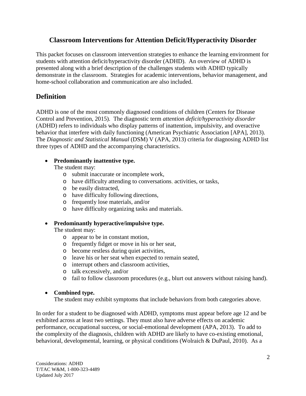## **Classroom Interventions for Attention Deficit/Hyperactivity Disorder**

This packet focuses on classroom intervention strategies to enhance the learning environment for students with attention deficit/hyperactivity disorder (ADHD). An overview of ADHD is presented along with a brief description of the challenges students with ADHD typically demonstrate in the classroom. Strategies for academic interventions, behavior management, and home-school collaboration and communication are also included.

# **Definition**

ADHD is one of the most commonly diagnosed conditions of children (Centers for Disease Control and Prevention, 2015). The diagnostic term *attention deficit/hyperactivity disorder* (ADHD) refers to individuals who display patterns of inattention, impulsivity, and overactive behavior that interfere with daily functioning (American Psychiatric Association [APA], 2013). The *Diagnostic and Statistical Manual* (DSM) V (APA, 2013) criteria for diagnosing ADHD list three types of ADHD and the accompanying characteristics.

#### • **Predominantly inattentive type.**

The student may:

- o submit inaccurate or incomplete work,
- o have difficulty attending to conversations, activities, or tasks,
- o be easily distracted,
- o have difficulty following directions,
- o frequently lose materials, and/or
- o have difficulty organizing tasks and materials.

#### • **Predominantly hyperactive/impulsive type.**

The student may:

- o appear to be in constant motion,
- o frequently fidget or move in his or her seat,
- o become restless during quiet activities,
- o leave his or her seat when expected to remain seated,
- o interrupt others and classroom activities,
- o talk excessively, and/or
- o fail to follow classroom procedures (e.g., blurt out answers without raising hand).

#### • **Combined type.**

The student may exhibit symptoms that include behaviors from both categories above.

In order for a student to be diagnosed with ADHD, symptoms must appear before age 12 and be exhibited across at least two settings. They must also have adverse effects on academic performance, occupational success, or social-emotional development (APA, 2013). To add to the complexity of the diagnosis, children with ADHD are likely to have co-existing emotional, behavioral, developmental, learning, or physical conditions (Wolraich & DuPaul, 2010). As a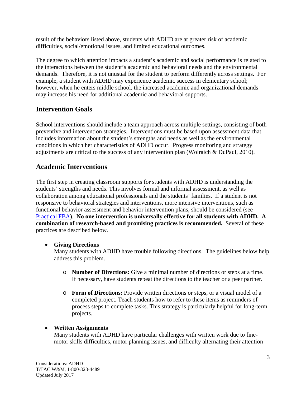result of the behaviors listed above, students with ADHD are at greater risk of academic difficulties, social/emotional issues, and limited educational outcomes.

The degree to which attention impacts a student's academic and social performance is related to the interactions between the student's academic and behavioral needs and the environmental demands. Therefore, it is not unusual for the student to perform differently across settings. For example, a student with ADHD may experience academic success in elementary school; however, when he enters middle school, the increased academic and organizational demands may increase his need for additional academic and behavioral supports.

# **Intervention Goals**

School interventions should include a team approach across multiple settings, consisting of both preventive and intervention strategies. Interventions must be based upon assessment data that includes information about the student's strengths and needs as well as the environmental conditions in which her characteristics of ADHD occur. Progress monitoring and strategy adjustments are critical to the success of any intervention plan (Wolraich & DuPaul, 2010).

# **Academic Interventions**

The first step in creating classroom supports for students with ADHD is understanding the students' strengths and needs. This involves formal and informal assessment, as well as collaboration among educational professionals and the students' families. If a student is not responsive to behavioral strategies and interventions, more intensive interventions, such as functional behavior assessment and behavior intervention plans, should be considered (see [Practical FBA\)](http://www.pbis.org/common/cms/files/pbisresources/practicalfba_trainingmanual.pdf). **No one intervention is universally effective for all students with ADHD. A combination of research-based and promising practices is recommended.** Several of these practices are described below.

## • **Giving Directions**

Many students with ADHD have trouble following directions. The guidelines below help address this problem.

- o **Number of Directions:** Give a minimal number of directions or steps at a time. If necessary, have students repeat the directions to the teacher or a peer partner.
- o **Form of Directions:** Provide written directions or steps, or a visual model of a completed project. Teach students how to refer to these items as reminders of process steps to complete tasks. This strategy is particularly helpful for long-term projects.

# • **Written Assignments**

Many students with ADHD have particular challenges with written work due to finemotor skills difficulties, motor planning issues, and difficulty alternating their attention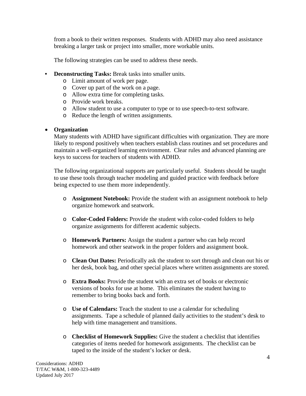from a book to their written responses. Students with ADHD may also need assistance breaking a larger task or project into smaller, more workable units.

The following strategies can be used to address these needs.

- **Deconstructing Tasks:** Break tasks into smaller units.
	- o Limit amount of work per page.
	- o Cover up part of the work on a page.
	- o Allow extra time for completing tasks.
	- o Provide work breaks.
	- o Allow student to use a computer to type or to use speech-to-text software.
	- o Reduce the length of written assignments.

#### • **Organization**

Many students with ADHD have significant difficulties with organization. They are more likely to respond positively when teachers establish class routines and set procedures and maintain a well-organized learning environment. Clear rules and advanced planning are keys to success for teachers of students with ADHD.

The following organizational supports are particularly useful. Students should be taught to use these tools through teacher modeling and guided practice with feedback before being expected to use them more independently.

- o **Assignment Notebook:** Provide the student with an assignment notebook to help organize homework and seatwork.
- o **Color-Coded Folders:** Provide the student with color-coded folders to help organize assignments for different academic subjects.
- o **Homework Partners:** Assign the student a partner who can help record homework and other seatwork in the proper folders and assignment book.
- o **Clean Out Dates:** Periodically ask the student to sort through and clean out his or her desk, book bag, and other special places where written assignments are stored.
- o **Extra Books:** Provide the student with an extra set of books or electronic versions of books for use at home. This eliminates the student having to remember to bring books back and forth.
- o **Use of Calendars:** Teach the student to use a calendar for scheduling assignments. Tape a schedule of planned daily activities to the student's desk to help with time management and transitions.
- o **Checklist of Homework Supplies:** Give the student a checklist that identifies categories of items needed for homework assignments. The checklist can be taped to the inside of the student's locker or desk.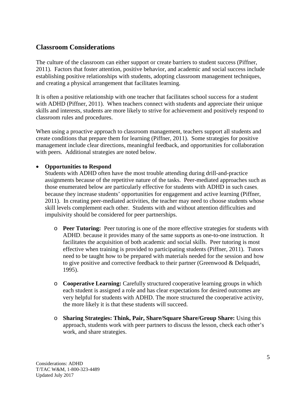## **Classroom Considerations**

The culture of the classroom can either support or create barriers to student success (Piffner, 2011). Factors that foster attention, positive behavior, and academic and social success include establishing positive relationships with students, adopting classroom management techniques, and creating a physical arrangement that facilitates learning.

It is often a positive relationship with one teacher that facilitates school success for a student with ADHD (Piffner, 2011). When teachers connect with students and appreciate their unique skills and interests, students are more likely to strive for achievement and positively respond to classroom rules and procedures.

When using a proactive approach to classroom management, teachers support all students and create conditions that prepare them for learning (Piffner, 2011). Some strategies for positive management include clear directions, meaningful feedback, and opportunities for collaboration with peers. Additional strategies are noted below.

#### • **Opportunities to Respond**

Students with ADHD often have the most trouble attending during drill-and-practice assignments because of the repetitive nature of the tasks. Peer-mediated approaches such as those enumerated below are particularly effective for students with ADHD in such cases, because they increase students' opportunities for engagement and active learning (Piffner, 2011). In creating peer-mediated activities, the teacher may need to choose students whose skill levels complement each other. Students with and without attention difficulties and impulsivity should be considered for peer partnerships.

- o **Peer Tutoring:** Peer tutoring is one of the more effective strategies for students with ADHD, because it provides many of the same supports as one-to-one instruction. It facilitates the acquisition of both academic and social skills. Peer tutoring is most effective when training is provided to participating students (Piffner, 2011). Tutors need to be taught how to be prepared with materials needed for the session and how to give positive and corrective feedback to their partner (Greenwood & Delquadri, 1995).
- o **Cooperative Learning:** Carefully structured cooperative learning groups in which each student is assigned a role and has clear expectations for desired outcomes are very helpful for students with ADHD. The more structured the cooperative activity, the more likely it is that these students will succeed.
- o **Sharing Strategies: Think, Pair, Share/Square Share/Group Share:** Using this approach, students work with peer partners to discuss the lesson, check each other's work, and share strategies.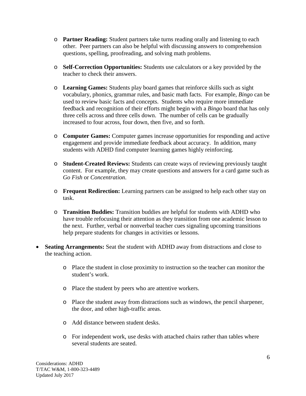- o **Partner Reading:** Student partners take turns reading orally and listening to each other. Peer partners can also be helpful with discussing answers to comprehension questions, spelling, proofreading, and solving math problems.
- o **Self-Correction Opportunities:** Students use calculators or a key provided by the teacher to check their answers.
- o **Learning Games:** Students play board games that reinforce skills such as sight vocabulary, phonics, grammar rules, and basic math facts. For example, *Bingo* can be used to review basic facts and concepts. Students who require more immediate feedback and recognition of their efforts might begin with a *Bingo* board that has only three cells across and three cells down. The number of cells can be gradually increased to four across, four down, then five, and so forth.
- o **Computer Games:** Computer games increase opportunities for responding and active engagement and provide immediate feedback about accuracy. In addition, many students with ADHD find computer learning games highly reinforcing.
- o **Student-Created Reviews:** Students can create ways of reviewing previously taught content. For example, they may create questions and answers for a card game such as *Go Fish* or *Concentration*.
- o **Frequent Redirection:** Learning partners can be assigned to help each other stay on task.
- o **Transition Buddies:** Transition buddies are helpful for students with ADHD who have trouble refocusing their attention as they transition from one academic lesson to the next. Further, verbal or nonverbal teacher cues signaling upcoming transitions help prepare students for changes in activities or lessons.
- **Seating Arrangements:** Seat the student with ADHD away from distractions and close to the teaching action.
	- o Place the student in close proximity to instruction so the teacher can monitor the student's work.
	- o Place the student by peers who are attentive workers.
	- o Place the student away from distractions such as windows, the pencil sharpener, the door, and other high-traffic areas.
	- o Add distance between student desks.
	- o For independent work, use desks with attached chairs rather than tables where several students are seated.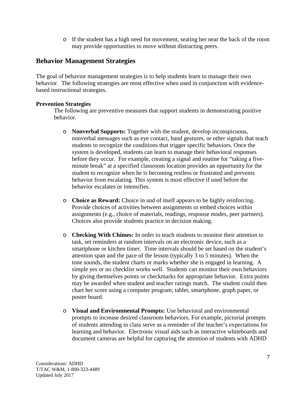o If the student has a high need for movement, seating her near the back of the room may provide opportunities to move without distracting peers.

### **Behavior Management Strategies**

The goal of behavior management strategies is to help students learn to manage their own behavior. The following strategies are most effective when used in conjunction with evidencebased instructional strategies.

#### **Prevention Strategies**

The following are preventive measures that support students in demonstrating positive behavior.

- o **Nonverbal Supports:** Together with the student, develop inconspicuous, nonverbal messages such as eye contact, hand gestures, or other signals that teach students to recognize the conditions that trigger specific behaviors. Once the system is developed, students can learn to manage their behavioral responses before they occur. For example, creating a signal and routine for "taking a fiveminute break" at a specified classroom location provides an opportunity for the student to recognize when he is becoming restless or frustrated and prevents behavior from escalating. This system is most effective if used before the behavior escalates or intensifies.
- o **Choice as Reward:** Choice in and of itself appears to be highly reinforcing. Provide choices of activities between assignments or embed choices within assignments (e.g., choice of materials, readings, response modes, peer partners). Choices also provide students practice in decision making.
- o **Checking With Chimes:** In order to teach students to monitor their attention to task, set reminders at random intervals on an electronic device, such as a smartphone or kitchen timer. Time intervals should be set based on the student's attention span and the pace of the lesson (typically 3 to 5 minutes). When the tone sounds, the student charts or marks whether she is engaged in learning. A simple yes or no checklist works well. Students can monitor their own behaviors by giving themselves points or checkmarks for appropriate behavior. Extra points may be awarded when student and teacher ratings match. The student could then chart her score using a computer program, tablet, smartphone, graph paper, or poster board.
- o **Visual and Environmental Prompts:** Use behavioral and environmental prompts to increase desired classroom behaviors. For example, pictorial prompts of students attending in class serve as a reminder of the teacher's expectations for learning and behavior. Electronic visual aids such as interactive whiteboards and document cameras are helpful for capturing the attention of students with ADHD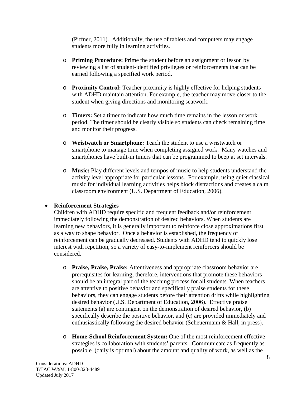(Piffner, 2011). Additionally, the use of tablets and computers may engage students more fully in learning activities.

- o **Priming Procedure:** Prime the student before an assignment or lesson by reviewing a list of student-identified privileges or reinforcements that can be earned following a specified work period.
- o **Proximity Control:** Teacher proximity is highly effective for helping students with ADHD maintain attention. For example, the teacher may move closer to the student when giving directions and monitoring seatwork.
- o **Timers:** Set a timer to indicate how much time remains in the lesson or work period. The timer should be clearly visible so students can check remaining time and monitor their progress.
- o **Wristwatch or Smartphone:** Teach the student to use a wristwatch or smartphone to manage time when completing assigned work. Many watches and smartphones have built-in timers that can be programmed to beep at set intervals.
- o **Music:** Play different levels and tempos of music to help students understand the activity level appropriate for particular lessons. For example, using quiet classical music for individual learning activities helps block distractions and creates a calm classroom environment (U.S. Department of Education, 2006).

#### • **Reinforcement Strategies**

Children with ADHD require specific and frequent feedback and/or reinforcement immediately following the demonstration of desired behaviors. When students are learning new behaviors, it is generally important to reinforce close approximations first as a way to shape behavior. Once a behavior is established, the frequency of reinforcement can be gradually decreased. Students with ADHD tend to quickly lose interest with repetition, so a variety of easy-to-implement reinforcers should be considered.

- o **Praise, Praise, Praise:** Attentiveness and appropriate classroom behavior are prerequisites for learning; therefore, interventions that promote these behaviors should be an integral part of the teaching process for all students. When teachers are attentive to positive behavior and specifically praise students for these behaviors, they can engage students before their attention drifts while highlighting desired behavior (U.S. Department of Education, 2006). Effective praise statements (a) are contingent on the demonstration of desired behavior, (b) specifically describe the positive behavior, and (c) are provided immediately and enthusiastically following the desired behavior (Scheuermann & Hall, in press).
- o **Home-School Reinforcement System:** One of the most reinforcement effective strategies is collaboration with students' parents. Communicate as frequently as possible (daily is optimal) about the amount and quality of work, as well as the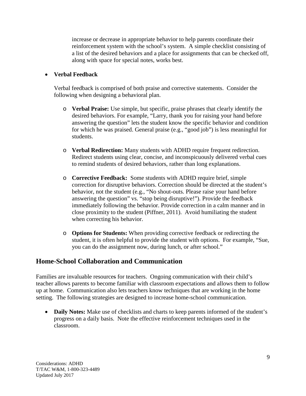increase or decrease in appropriate behavior to help parents coordinate their reinforcement system with the school's system. A simple checklist consisting of a list of the desired behaviors and a place for assignments that can be checked off, along with space for special notes, works best.

#### • **Verbal Feedback**

Verbal feedback is comprised of both praise and corrective statements. Consider the following when designing a behavioral plan.

- o **Verbal Praise:** Use simple, but specific, praise phrases that clearly identify the desired behaviors. For example, "Larry, thank you for raising your hand before answering the question" lets the student know the specific behavior and condition for which he was praised. General praise (e.g., "good job") is less meaningful for students.
- o **Verbal Redirection:** Many students with ADHD require frequent redirection. Redirect students using clear, concise, and inconspicuously delivered verbal cues to remind students of desired behaviors, rather than long explanations.
- o **Corrective Feedback:** Some students with ADHD require brief, simple correction for disruptive behaviors. Correction should be directed at the student's behavior, not the student (e.g., "No shout-outs. Please raise your hand before answering the question" vs. "stop being disruptive!"). Provide the feedback immediately following the behavior. Provide correction in a calm manner and in close proximity to the student (Piffner, 2011). Avoid humiliating the student when correcting his behavior.
- o **Options for Students:** When providing corrective feedback or redirecting the student, it is often helpful to provide the student with options. For example, "Sue, you can do the assignment now, during lunch, or after school."

## **Home-School Collaboration and Communication**

Families are invaluable resources for teachers. Ongoing communication with their child's teacher allows parents to become familiar with classroom expectations and allows them to follow up at home. Communication also lets teachers know techniques that are working in the home setting. The following strategies are designed to increase home-school communication.

• **Daily Notes:** Make use of checklists and charts to keep parents informed of the student's progress on a daily basis. Note the effective reinforcement techniques used in the classroom.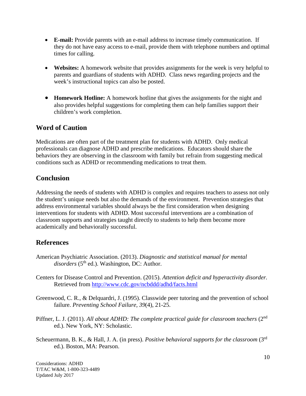- **E-mail:** Provide parents with an e-mail address to increase timely communication. If they do not have easy access to e-mail, provide them with telephone numbers and optimal times for calling.
- **Websites:** A homework website that provides assignments for the week is very helpful to parents and guardians of students with ADHD. Class news regarding projects and the week's instructional topics can also be posted.
- **Homework Hotline:** A homework hotline that gives the assignments for the night and also provides helpful suggestions for completing them can help families support their children's work completion.

# **Word of Caution**

Medications are often part of the treatment plan for students with ADHD. Only medical professionals can diagnose ADHD and prescribe medications. Educators should share the behaviors they are observing in the classroom with family but refrain from suggesting medical conditions such as ADHD or recommending medications to treat them.

## **Conclusion**

Addressing the needs of students with ADHD is complex and requires teachers to assess not only the student's unique needs but also the demands of the environment. Prevention strategies that address environmental variables should always be the first consideration when designing interventions for students with ADHD. Most successful interventions are a combination of classroom supports and strategies taught directly to students to help them become more academically and behaviorally successful.

# **References**

- American Psychiatric Association. (2013). *Diagnostic and statistical manual for mental*  disorders (5<sup>th</sup> ed.). Washington, DC: Author.
- Centers for Disease Control and Prevention. (2015). *Attention deficit and hyperactivity disorder.*  Retrieved from<http://www.cdc.gov/ncbddd/adhd/facts.html>
- Greenwood, C. R., & Delquardri, J. (1995). Classwide peer tutoring and the prevention of school failure. *Preventing School Failure, 39*(4), 21-25.
- Piffner, L. J. (2011). *All about ADHD: The complete practical guide for classroom teachers* (2nd ed.). New York, NY: Scholastic.
- Scheuermann, B. K., & Hall, J. A. (in press). *Positive behavioral supports for the classroom* (3rd ed.). Boston, MA: Pearson.